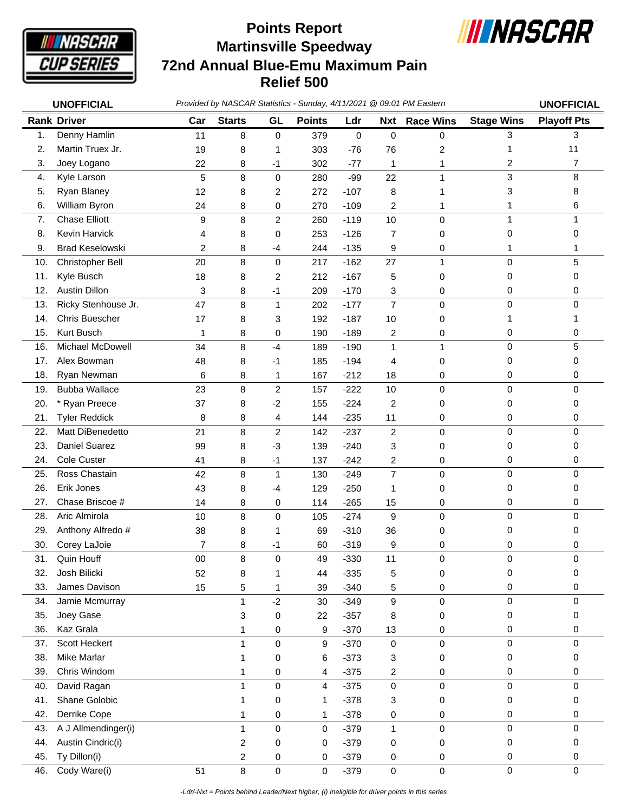

## **Martinsville Speedway 72nd Annual Blue-Emu Maximum Pain Relief 500 Points Report**



|     | <b>UNOFFICIAL</b>      |        |                |                |               |             |                | Provided by NASCAR Statistics - Sunday, 4/11/2021 @ 09:01 PM Eastern |                   | <b>UNOFFICIAL</b>  |
|-----|------------------------|--------|----------------|----------------|---------------|-------------|----------------|----------------------------------------------------------------------|-------------------|--------------------|
|     | <b>Rank Driver</b>     | Car    | <b>Starts</b>  | GL             | <b>Points</b> | Ldr         | <b>Nxt</b>     | <b>Race Wins</b>                                                     | <b>Stage Wins</b> | <b>Playoff Pts</b> |
| 1.  | Denny Hamlin           | 11     | 8              | 0              | 379           | $\mathbf 0$ | $\pmb{0}$      | $\mathsf{O}\xspace$                                                  | 3                 | 3                  |
| 2.  | Martin Truex Jr.       | 19     | 8              | 1              | 303           | $-76$       | 76             | $\overline{c}$                                                       | 1                 | 11                 |
| 3.  | Joey Logano            | 22     | 8              | $-1$           | 302           | $-77$       | 1              | 1                                                                    | 2                 | 7                  |
| 4.  | Kyle Larson            | 5      | 8              | 0              | 280           | $-99$       | 22             | 1                                                                    | 3                 | 8                  |
| 5.  | Ryan Blaney            | 12     | 8              | 2              | 272           | $-107$      | 8              | 1                                                                    | 3                 | 8                  |
| 6.  | William Byron          | 24     | 8              | 0              | 270           | $-109$      | 2              | 1                                                                    | 1                 | 6                  |
| 7.  | <b>Chase Elliott</b>   | 9      | 8              | $\overline{c}$ | 260           | $-119$      | 10             | $\mathbf 0$                                                          | 1                 | 1                  |
| 8.  | Kevin Harvick          | 4      | 8              | 0              | 253           | $-126$      | $\overline{7}$ | 0                                                                    | 0                 | 0                  |
| 9.  | <b>Brad Keselowski</b> | 2      | 8              | $-4$           | 244           | $-135$      | 9              | 0                                                                    | 1                 | 1                  |
| 10. | Christopher Bell       | 20     | 8              | 0              | 217           | $-162$      | 27             | $\mathbf{1}$                                                         | 0                 | 5                  |
| 11. | Kyle Busch             | 18     | 8              | 2              | 212           | $-167$      | 5              | 0                                                                    | 0                 | 0                  |
| 12. | <b>Austin Dillon</b>   | 3      | 8              | $-1$           | 209           | $-170$      | 3              | 0                                                                    | 0                 | 0                  |
| 13. | Ricky Stenhouse Jr.    | 47     | 8              | 1              | 202           | $-177$      | $\overline{7}$ | $\mathbf 0$                                                          | 0                 | 0                  |
| 14. | <b>Chris Buescher</b>  | 17     | 8              | 3              | 192           | $-187$      | 10             | 0                                                                    | 1                 | 1                  |
| 15. | <b>Kurt Busch</b>      | 1      | 8              | 0              | 190           | $-189$      | 2              | 0                                                                    | 0                 | 0                  |
| 16. | Michael McDowell       | 34     | 8              | $-4$           | 189           | $-190$      | 1              | $\mathbf{1}$                                                         | 0                 | 5                  |
| 17. | Alex Bowman            | 48     | 8              | $-1$           | 185           | $-194$      | 4              | 0                                                                    | 0                 | 0                  |
| 18. | Ryan Newman            | 6      | 8              | 1              | 167           | $-212$      | 18             | 0                                                                    | 0                 | 0                  |
| 19. | <b>Bubba Wallace</b>   | 23     | 8              | $\overline{c}$ | 157           | $-222$      | 10             | $\mathbf 0$                                                          | $\mathsf 0$       | $\mathbf 0$        |
| 20. | * Ryan Preece          | 37     | 8              | $-2$           | 155           | $-224$      | $\overline{c}$ | 0                                                                    | 0                 | 0                  |
| 21. | <b>Tyler Reddick</b>   | 8      | 8              | 4              | 144           | $-235$      | 11             | 0                                                                    | 0                 | 0                  |
| 22. | Matt DiBenedetto       | 21     | 8              | $\overline{c}$ | 142           | $-237$      | $\overline{c}$ | $\mathbf 0$                                                          | 0                 | 0                  |
| 23. | Daniel Suarez          | 99     | 8              | $-3$           | 139           | $-240$      | 3              | 0                                                                    | 0                 | 0                  |
| 24. | Cole Custer            | 41     | 8              | $-1$           | 137           | $-242$      | 2              | 0                                                                    | 0                 | 0                  |
| 25. | Ross Chastain          | 42     | 8              | $\mathbf{1}$   | 130           | $-249$      | $\overline{7}$ | $\mathbf 0$                                                          | 0                 | $\mathbf 0$        |
| 26. | Erik Jones             | 43     | 8              | -4             | 129           | $-250$      | 1              | 0                                                                    | 0                 | 0                  |
| 27. | Chase Briscoe #        | 14     | 8              | 0              | 114           | $-265$      | 15             | 0                                                                    | 0                 | 0                  |
| 28. | Aric Almirola          | 10     | 8              | 0              | 105           | $-274$      | 9              | $\mathbf 0$                                                          | 0                 | 0                  |
| 29. | Anthony Alfredo #      | 38     | 8              | 1              | 69            | $-310$      | 36             | 0                                                                    | 0                 | 0                  |
| 30. | Corey LaJoie           | 7      | 8              | $-1$           | 60            | $-319$      | 9              | 0                                                                    | 0                 | 0                  |
| 31. | Quin Houff             | $00\,$ | 8              | 0              | 49            | $-330$      | 11             | 0                                                                    | 0                 | 0                  |
| 32. | Josh Bilicki           | 52     | 8              | 1              | 44            | $-335$      | 5              | 0                                                                    | 0                 | 0                  |
| 33. | James Davison          | 15     | 5              | 1              | 39            | $-340$      | 5              | 0                                                                    | 0                 | 0                  |
| 34. | Jamie Mcmurray         |        | $\mathbf{1}$   | $-2$           | 30            | $-349$      | 9              | $\mathbf 0$                                                          | 0                 | $\mathbf 0$        |
| 35. | Joey Gase              |        | 3              | 0              | 22            | $-357$      | 8              | 0                                                                    | 0                 | 0                  |
| 36. | Kaz Grala              |        | 1              | 0              | 9             | $-370$      | 13             | 0                                                                    | 0                 | 0                  |
| 37. | Scott Heckert          |        | $\mathbf{1}$   | 0              | 9             | $-370$      | 0              | $\mathbf 0$                                                          | 0                 | $\mathbf 0$        |
| 38. | <b>Mike Marlar</b>     |        | 1              | 0              | 6             | $-373$      | 3              | 0                                                                    | 0                 | 0                  |
| 39. | Chris Windom           |        | 1              | 0              | 4             | $-375$      | 2              | 0                                                                    | 0                 | 0                  |
| 40. | David Ragan            |        | 1              | 0              | 4             | $-375$      | $\mathbf 0$    | $\mathbf 0$                                                          | 0                 | 0                  |
| 41. | Shane Golobic          |        | 1              | 0              | 1             | $-378$      | 3              | 0                                                                    | 0                 | 0                  |
| 42. | Derrike Cope           |        | 1              | 0              | 1             | $-378$      | 0              | 0                                                                    | 0                 | 0                  |
| 43. | A J Allmendinger(i)    |        | $\mathbf{1}$   | 0              | 0             | $-379$      | $\mathbf{1}$   | 0                                                                    | 0                 | 0                  |
| 44. | Austin Cindric(i)      |        | $\overline{c}$ | 0              | 0             | $-379$      | 0              | 0                                                                    | 0                 | 0                  |
| 45. | Ty Dillon(i)           |        | 2              | 0              | 0             | $-379$      | 0              | 0                                                                    | 0                 | 0                  |
| 46. | Cody Ware(i)           | 51     | 8              | 0              | $\pmb{0}$     | $-379$      | $\mathbf 0$    | $\pmb{0}$                                                            | $\mathsf 0$       | 0                  |